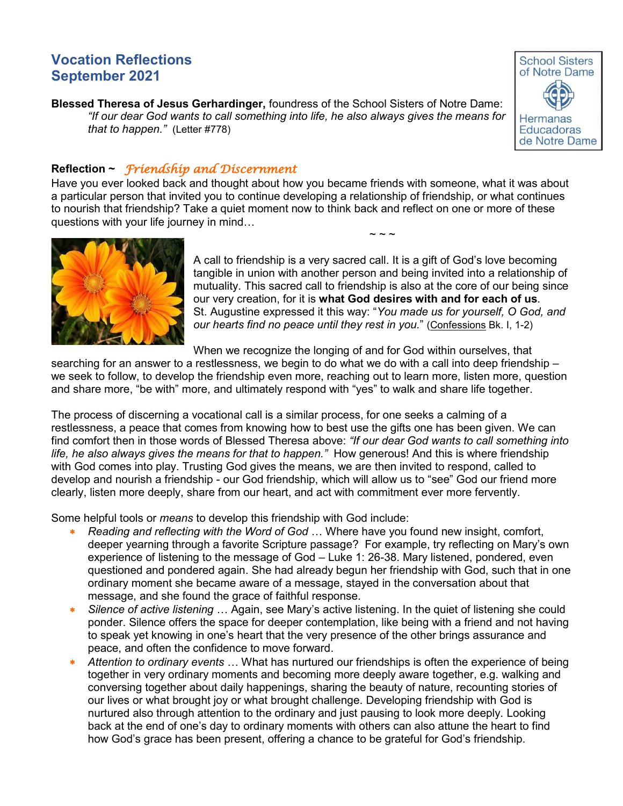# **Vocation Reflections September 2021**

**Blessed Theresa of Jesus Gerhardinger,** foundress of the School Sisters of Notre Dame: *"If our dear God wants to call something into life, he also always gives the means for that to happen."* (Letter #778)



# **Reflection ~** *Friendship and Discernment*

Have you ever looked back and thought about how you became friends with someone, what it was about a particular person that invited you to continue developing a relationship of friendship, or what continues to nourish that friendship? Take a quiet moment now to think back and reflect on one or more of these questions with your life journey in mind…



A call to friendship is a very sacred call. It is a gift of God's love becoming tangible in union with another person and being invited into a relationship of mutuality. This sacred call to friendship is also at the core of our being since our very creation, for it is **what God desires with and for each of us**. St. Augustine expressed it this way: "*You made us for yourself, O God, and our hearts find no peace until they rest in you.*" (Confessions Bk. I, 1-2)

 $\sim$  ~ ~

When we recognize the longing of and for God within ourselves, that

searching for an answer to a restlessness, we begin to do what we do with a call into deep friendship – we seek to follow, to develop the friendship even more, reaching out to learn more, listen more, question and share more, "be with" more, and ultimately respond with "yes" to walk and share life together.

The process of discerning a vocational call is a similar process, for one seeks a calming of a restlessness, a peace that comes from knowing how to best use the gifts one has been given. We can find comfort then in those words of Blessed Theresa above: *"If our dear God wants to call something into life, he also always gives the means for that to happen."* How generous! And this is where friendship with God comes into play. Trusting God gives the means, we are then invited to respond, called to develop and nourish a friendship - our God friendship, which will allow us to "see" God our friend more clearly, listen more deeply, share from our heart, and act with commitment ever more fervently.

Some helpful tools or *means* to develop this friendship with God include:

- *Reading and reflecting with the Word of God* … Where have you found new insight, comfort, deeper yearning through a favorite Scripture passage? For example, try reflecting on Mary's own experience of listening to the message of God – Luke 1: 26-38. Mary listened, pondered, even questioned and pondered again. She had already begun her friendship with God, such that in one ordinary moment she became aware of a message, stayed in the conversation about that message, and she found the grace of faithful response.
- *Silence of active listening* … Again, see Mary's active listening. In the quiet of listening she could ponder. Silence offers the space for deeper contemplation, like being with a friend and not having to speak yet knowing in one's heart that the very presence of the other brings assurance and peace, and often the confidence to move forward.
- *Attention to ordinary events* … What has nurtured our friendships is often the experience of being together in very ordinary moments and becoming more deeply aware together, e.g. walking and conversing together about daily happenings, sharing the beauty of nature, recounting stories of our lives or what brought joy or what brought challenge. Developing friendship with God is nurtured also through attention to the ordinary and just pausing to look more deeply. Looking back at the end of one's day to ordinary moments with others can also attune the heart to find how God's grace has been present, offering a chance to be grateful for God's friendship.